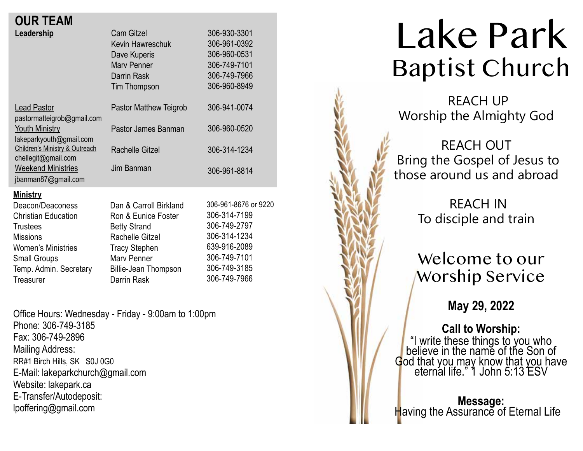## **OUR TEAM**

| Leadership<br><b>Lead Pastor</b>                                                                                                                                                                   | <b>Cam Gitzel</b><br>Kevin Hawreschuk<br>Dave Kuperis<br><b>Mary Penner</b><br>Darrin Rask<br>Tim Thompson<br>Pastor Matthew Teigrob                                         | 306-930-3301<br>306-961-0392<br>306-960-0531<br>306-749-7101<br>306-749-7966<br>306-960-8949<br>306-941-0074                         |
|----------------------------------------------------------------------------------------------------------------------------------------------------------------------------------------------------|------------------------------------------------------------------------------------------------------------------------------------------------------------------------------|--------------------------------------------------------------------------------------------------------------------------------------|
| pastormatteigrob@gmail.com<br><b>Youth Ministry</b><br>lakeparkyouth@gmail.com<br>Children's Ministry & Outreach<br>chellegit@gmail.com<br><b>Weekend Ministries</b><br>jbanman87@gmail.com        | Pastor James Banman<br><b>Rachelle Gitzel</b><br>Jim Banman                                                                                                                  | 306-960-0520<br>306-314-1234<br>306-961-8814                                                                                         |
| <u>Ministry</u><br>Deacon/Deaconess<br><b>Christian Education</b><br><b>Trustees</b><br><b>Missions</b><br><b>Women's Ministries</b><br><b>Small Groups</b><br>Temp. Admin. Secretary<br>Treasurer | Dan & Carroll Birkland<br>Ron & Eunice Foster<br><b>Betty Strand</b><br>Rachelle Gitzel<br><b>Tracy Stephen</b><br>Mary Penner<br><b>Billie-Jean Thompson</b><br>Darrin Rask | 306-961-8676 or 9220<br>306-314-7199<br>306-749-2797<br>306-314-1234<br>639-916-2089<br>306-749-7101<br>306-749-3185<br>306-749-7966 |

Office Hours: Wednesday - Friday - 9:00am to 1:00pm Phone: 306-749-3185 Fax: 306-749-2896 Mailing Address: RR#1 Birch Hills, SK S0J 0G0 E-Mail: lakeparkchurch@gmail.com Website: lakepark.ca E-Transfer/Autodeposit: lpoffering@gmail.com

# Lake Park Baptist Church

 REACH UP Worship the Almighty God

REACH OUT Bring the Gospel of Jesus to those around us and abroad

> REACH IN To disciple and train

## Welcome to our Worship Service

**May 29, 2022**

**Call to Worship:** "I write these things to you who believe in the name of the Son of God that you may know that you have<br>
eternal life." 1 John 5:13 ESV

**Message:**<br>Having the Assurance of Eternal Life